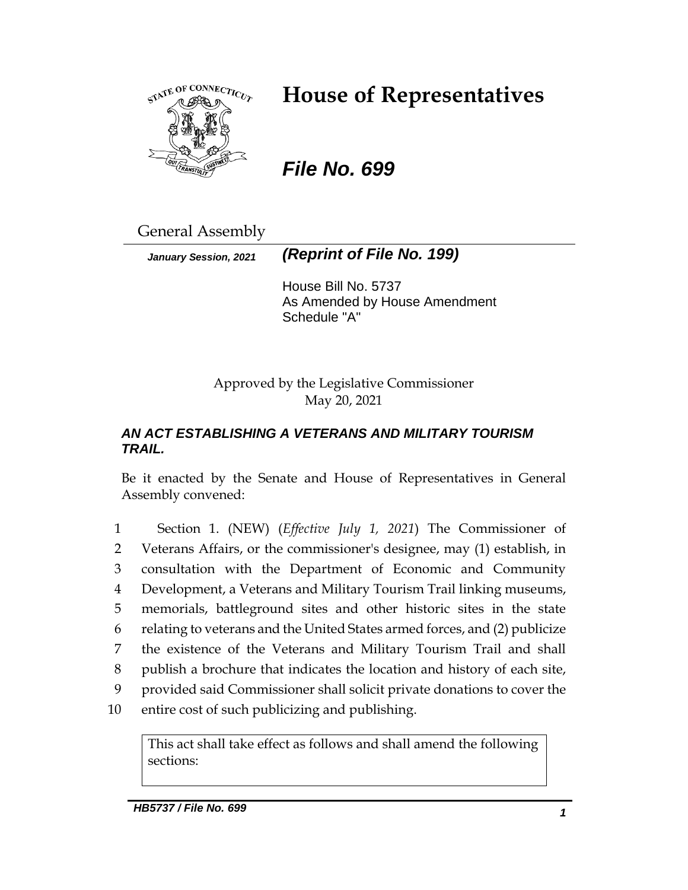

# **House of Representatives**

*File No. 699*

General Assembly

*January Session, 2021 (Reprint of File No. 199)*

House Bill No. 5737 As Amended by House Amendment Schedule "A"

Approved by the Legislative Commissioner May 20, 2021

### *AN ACT ESTABLISHING A VETERANS AND MILITARY TOURISM TRAIL.*

Be it enacted by the Senate and House of Representatives in General Assembly convened:

 Section 1. (NEW) (*Effective July 1, 2021*) The Commissioner of Veterans Affairs, or the commissioner's designee, may (1) establish, in consultation with the Department of Economic and Community Development, a Veterans and Military Tourism Trail linking museums, memorials, battleground sites and other historic sites in the state relating to veterans and the United States armed forces, and (2) publicize the existence of the Veterans and Military Tourism Trail and shall publish a brochure that indicates the location and history of each site, provided said Commissioner shall solicit private donations to cover the entire cost of such publicizing and publishing.

This act shall take effect as follows and shall amend the following sections: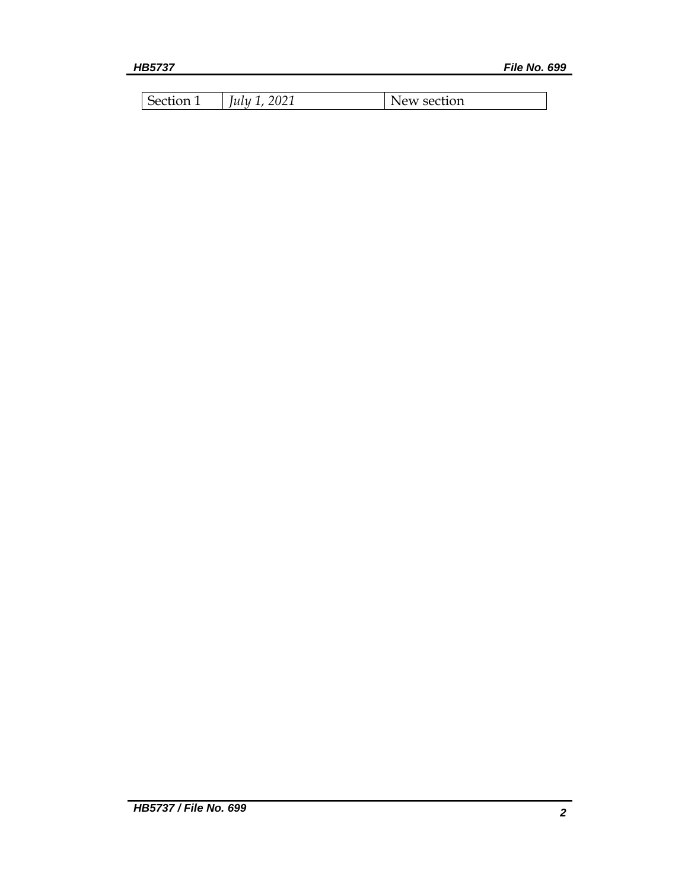| Section 1 | $\mu$ ly 1, 2021 | New section |
|-----------|------------------|-------------|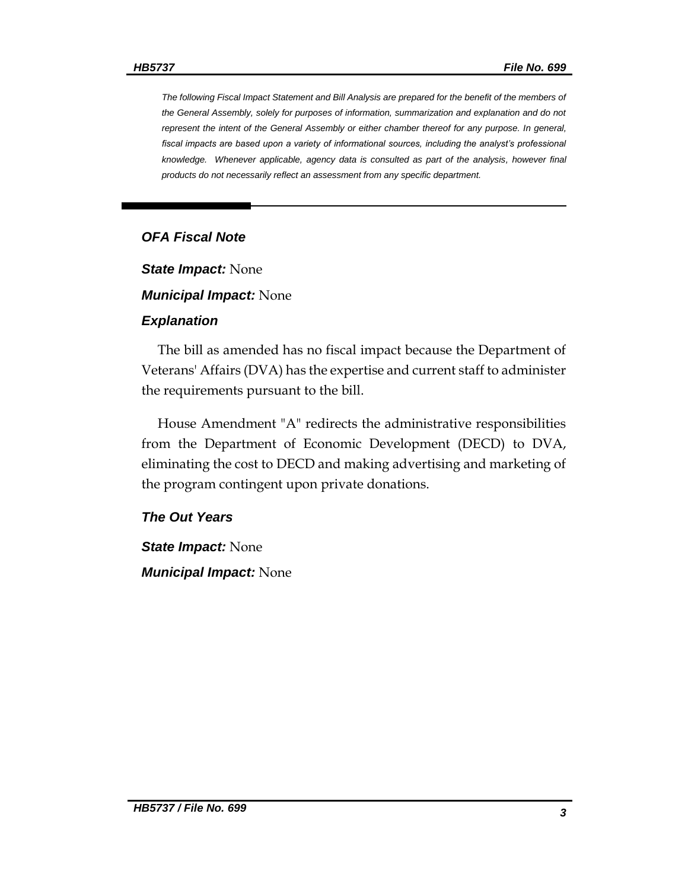*The following Fiscal Impact Statement and Bill Analysis are prepared for the benefit of the members of the General Assembly, solely for purposes of information, summarization and explanation and do not represent the intent of the General Assembly or either chamber thereof for any purpose. In general,*  fiscal impacts are based upon a variety of informational sources, including the analyst's professional *knowledge. Whenever applicable, agency data is consulted as part of the analysis, however final products do not necessarily reflect an assessment from any specific department.*

#### *OFA Fiscal Note*

*State Impact:* None

*Municipal Impact:* None

#### *Explanation*

The bill as amended has no fiscal impact because the Department of Veterans' Affairs (DVA) has the expertise and current staff to administer the requirements pursuant to the bill.

House Amendment "A" redirects the administrative responsibilities from the Department of Economic Development (DECD) to DVA, eliminating the cost to DECD and making advertising and marketing of the program contingent upon private donations.

#### *The Out Years*

*State Impact:* None *Municipal Impact:* None